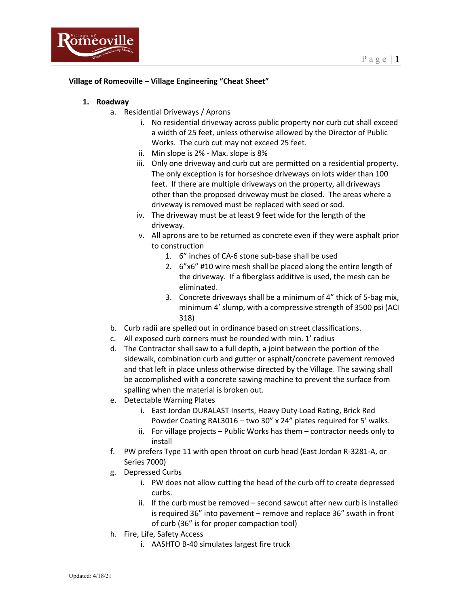

### **Village of Romeoville – Village Engineering "Cheat Sheet"**

### **1. Roadway**

- a. Residential Driveways / Aprons
	- i. No residential driveway across public property nor curb cut shall exceed a width of 25 feet, unless otherwise allowed by the Director of Public Works. The curb cut may not exceed 25 feet.
	- ii. Min slope is 2% Max. slope is 8%
	- iii. Only one driveway and curb cut are permitted on a residential property. The only exception is for horseshoe driveways on lots wider than 100 feet. If there are multiple driveways on the property, all driveways other than the proposed driveway must be closed. The areas where a driveway is removed must be replaced with seed or sod.
	- iv. The driveway must be at least 9 feet wide for the length of the driveway.
	- v. All aprons are to be returned as concrete even if they were asphalt prior to construction
		- 1. 6" inches of CA-6 stone sub-base shall be used
		- 2. 6"x6" #10 wire mesh shall be placed along the entire length of the driveway. If a fiberglass additive is used, the mesh can be eliminated.
		- 3. Concrete driveways shall be a minimum of 4" thick of 5-bag mix, minimum 4' slump, with a compressive strength of 3500 psi (ACI 318)
- b. Curb radii are spelled out in ordinance based on street classifications.
- c. All exposed curb corners must be rounded with min. 1' radius
- d. The Contractor shall saw to a full depth, a joint between the portion of the sidewalk, combination curb and gutter or asphalt/concrete pavement removed and that left in place unless otherwise directed by the Village. The sawing shall be accomplished with a concrete sawing machine to prevent the surface from spalling when the material is broken out.
- e. Detectable Warning Plates
	- i. East Jordan DURALAST Inserts, Heavy Duty Load Rating, Brick Red Powder Coating RAL3016 – two 30" x 24" plates required for 5' walks.
	- ii. For village projects Public Works has them contractor needs only to install
- f. PW prefers Type 11 with open throat on curb head (East Jordan R-3281-A, or Series 7000)
- g. Depressed Curbs
	- i. PW does not allow cutting the head of the curb off to create depressed curbs.
	- ii. If the curb must be removed second sawcut after new curb is installed is required 36" into pavement – remove and replace 36" swath in front of curb (36" is for proper compaction tool)
- h. Fire, Life, Safety Access
	- i. AASHTO B-40 simulates largest fire truck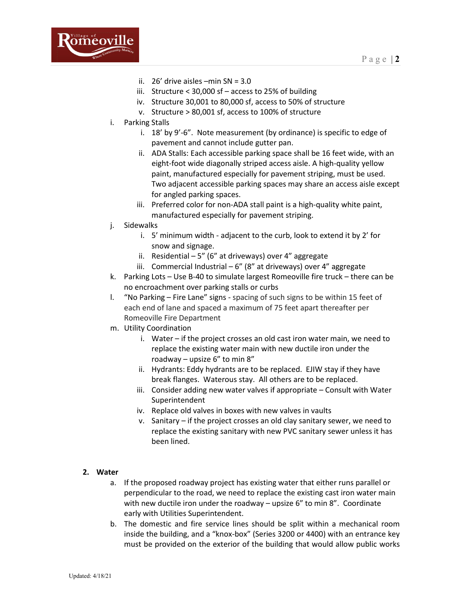

- ii. 26' drive aisles –min SN = 3.0
- iii. Structure < 30,000 sf access to 25% of building
- iv. Structure 30,001 to 80,000 sf, access to 50% of structure
- v. Structure > 80,001 sf, access to 100% of structure
- i. Parking Stalls
	- i. 18' by 9'-6". Note measurement (by ordinance) is specific to edge of pavement and cannot include gutter pan.
	- ii. ADA Stalls: Each accessible parking space shall be 16 feet wide, with an eight-foot wide diagonally striped access aisle. A high-quality yellow paint, manufactured especially for pavement striping, must be used. Two adjacent accessible parking spaces may share an access aisle except for angled parking spaces.
	- iii. Preferred color for non-ADA stall paint is a high-quality white paint, manufactured especially for pavement striping.
- j. Sidewalks
	- i. 5' minimum width adjacent to the curb, look to extend it by 2' for snow and signage.
	- ii. Residential  $-5$ " (6" at driveways) over 4" aggregate
	- iii. Commercial Industrial  $6''$  ( $8''$  at driveways) over  $4''$  aggregate
- k. Parking Lots Use B-40 to simulate largest Romeoville fire truck there can be no encroachment over parking stalls or curbs
- l. "No Parking Fire Lane" signs spacing of such signs to be within 15 feet of each end of lane and spaced a maximum of 75 feet apart thereafter per Romeoville Fire Department
- m. Utility Coordination
	- i. Water if the project crosses an old cast iron water main, we need to replace the existing water main with new ductile iron under the roadway – upsize 6" to min 8"
	- ii. Hydrants: Eddy hydrants are to be replaced. EJIW stay if they have break flanges. Waterous stay. All others are to be replaced.
	- iii. Consider adding new water valves if appropriate Consult with Water Superintendent
	- iv. Replace old valves in boxes with new valves in vaults
	- v. Sanitary if the project crosses an old clay sanitary sewer, we need to replace the existing sanitary with new PVC sanitary sewer unless it has been lined.

# **2. Water**

- a. If the proposed roadway project has existing water that either runs parallel or perpendicular to the road, we need to replace the existing cast iron water main with new ductile iron under the roadway – upsize 6" to min 8". Coordinate early with Utilities Superintendent.
- b. The domestic and fire service lines should be split within a mechanical room inside the building, and a "knox-box" (Series 3200 or 4400) with an entrance key must be provided on the exterior of the building that would allow public works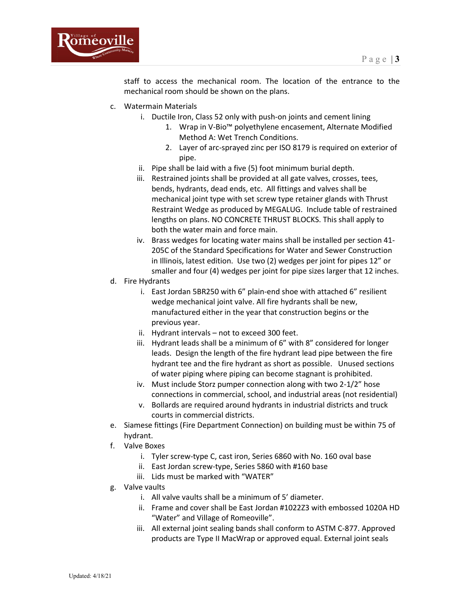

staff to access the mechanical room. The location of the entrance to the mechanical room should be shown on the plans.

- c. Watermain Materials
	- i. Ductile Iron, Class 52 only with push-on joints and cement lining
		- 1. Wrap in V-Bio™ polyethylene encasement, Alternate Modified Method A: Wet Trench Conditions.
		- 2. Layer of arc-sprayed zinc per ISO 8179 is required on exterior of pipe.
	- ii. Pipe shall be laid with a five (5) foot minimum burial depth.
	- iii. Restrained joints shall be provided at all gate valves, crosses, tees, bends, hydrants, dead ends, etc. All fittings and valves shall be mechanical joint type with set screw type retainer glands with Thrust Restraint Wedge as produced by MEGALUG. Include table of restrained lengths on plans. NO CONCRETE THRUST BLOCKS. This shall apply to both the water main and force main.
	- iv. Brass wedges for locating water mains shall be installed per section 41- 205C of the Standard Specifications for Water and Sewer Construction in Illinois, latest edition. Use two (2) wedges per joint for pipes 12" or smaller and four (4) wedges per joint for pipe sizes larger that 12 inches.
- d. Fire Hydrants
	- i. East Jordan 5BR250 with 6" plain-end shoe with attached 6" resilient wedge mechanical joint valve. All fire hydrants shall be new, manufactured either in the year that construction begins or the previous year.
	- ii. Hydrant intervals not to exceed 300 feet.
	- iii. Hydrant leads shall be a minimum of 6" with 8" considered for longer leads. Design the length of the fire hydrant lead pipe between the fire hydrant tee and the fire hydrant as short as possible. Unused sections of water piping where piping can become stagnant is prohibited.
	- iv. Must include Storz pumper connection along with two 2-1/2" hose connections in commercial, school, and industrial areas (not residential)
	- v. Bollards are required around hydrants in industrial districts and truck courts in commercial districts.
- e. Siamese fittings (Fire Department Connection) on building must be within 75 of hydrant.
- f. Valve Boxes
	- i. Tyler screw-type C, cast iron, Series 6860 with No. 160 oval base
	- ii. East Jordan screw-type, Series 5860 with #160 base
	- iii. Lids must be marked with "WATER"
- g. Valve vaults
	- i. All valve vaults shall be a minimum of 5' diameter.
	- ii. Frame and cover shall be East Jordan #1022Z3 with embossed 1020A HD "Water" and Village of Romeoville".
	- iii. All external joint sealing bands shall conform to ASTM C-877. Approved products are Type II MacWrap or approved equal. External joint seals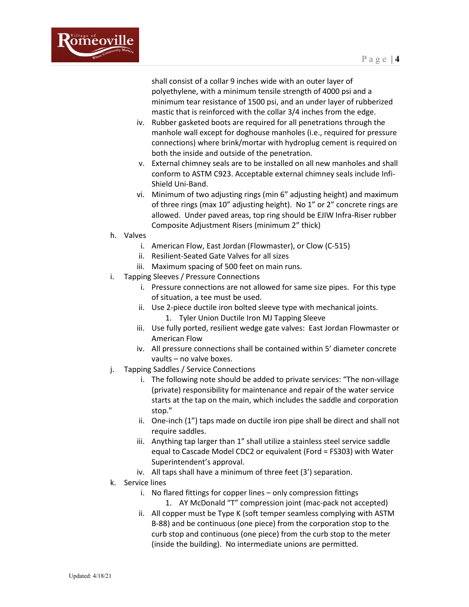

shall consist of a collar 9 inches wide with an outer layer of polyethylene, with a minimum tensile strength of 4000 psi and a minimum tear resistance of 1500 psi, and an under layer of rubberized mastic that is reinforced with the collar 3/4 inches from the edge.

- iv. Rubber gasketed boots are required for all penetrations through the manhole wall except for doghouse manholes (i.e., required for pressure connections) where brink/mortar with hydroplug cement is required on both the inside and outside of the penetration.
- v. External chimney seals are to be installed on all new manholes and shall conform to ASTM C923. Acceptable external chimney seals include Infi-Shield Uni-Band.
- vi. Minimum of two adjusting rings (min 6" adjusting height) and maximum of three rings (max 10" adjusting height). No 1" or 2" concrete rings are allowed. Under paved areas, top ring should be EJIW Infra-Riser rubber Composite Adjustment Risers (minimum 2" thick)
- h. Valves
	- i. American Flow, East Jordan (Flowmaster), or Clow (C-515)
	- ii. Resilient-Seated Gate Valves for all sizes
	- iii. Maximum spacing of 500 feet on main runs.
- i. Tapping Sleeves / Pressure Connections
	- i. Pressure connections are not allowed for same size pipes. For this type of situation, a tee must be used.
	- ii. Use 2-piece ductile iron bolted sleeve type with mechanical joints.
		- 1. Tyler Union Ductile Iron MJ Tapping Sleeve
	- iii. Use fully ported, resilient wedge gate valves: East Jordan Flowmaster or American Flow
	- iv. All pressure connections shall be contained within 5' diameter concrete vaults – no valve boxes.
- j. Tapping Saddles / Service Connections
	- i. The following note should be added to private services: "The non-village (private) responsibility for maintenance and repair of the water service starts at the tap on the main, which includes the saddle and corporation stop."
	- ii. One-inch (1") taps made on ductile iron pipe shall be direct and shall not require saddles.
	- iii. Anything tap larger than 1" shall utilize a stainless steel service saddle equal to Cascade Model CDC2 or equivalent (Ford = FS303) with Water Superintendent's approval.
	- iv. All taps shall have a minimum of three feet (3') separation.
- k. Service lines
	- i. No flared fittings for copper lines only compression fittings
		- 1. AY McDonald "T" compression joint (mac-pack not accepted)
	- ii. All copper must be Type K (soft temper seamless complying with ASTM B-88) and be continuous (one piece) from the corporation stop to the curb stop and continuous (one piece) from the curb stop to the meter (inside the building). No intermediate unions are permitted.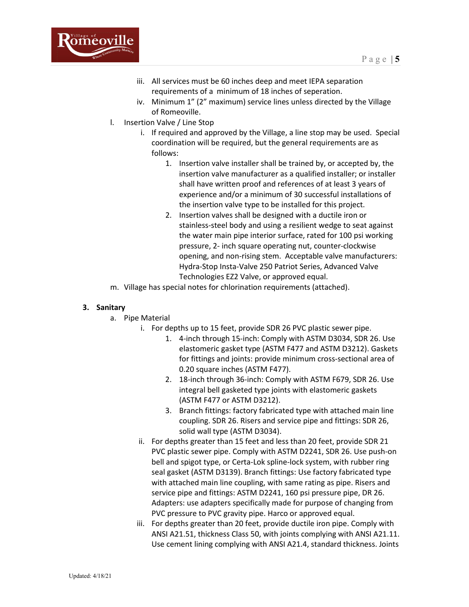

- iii. All services must be 60 inches deep and meet IEPA separation requirements of a minimum of 18 inches of seperation.
- iv. Minimum 1" (2" maximum) service lines unless directed by the Village of Romeoville.
- l. Insertion Valve / Line Stop
	- i. If required and approved by the Village, a line stop may be used. Special coordination will be required, but the general requirements are as follows:
		- 1. Insertion valve installer shall be trained by, or accepted by, the insertion valve manufacturer as a qualified installer; or installer shall have written proof and references of at least 3 years of experience and/or a minimum of 30 successful installations of the insertion valve type to be installed for this project.
		- 2. Insertion valves shall be designed with a ductile iron or stainless-steel body and using a resilient wedge to seat against the water main pipe interior surface, rated for 100 psi working pressure, 2- inch square operating nut, counter-clockwise opening, and non-rising stem. Acceptable valve manufacturers: Hydra-Stop Insta-Valve 250 Patriot Series, Advanced Valve Technologies EZ2 Valve, or approved equal.
- m. Village has special notes for chlorination requirements (attached).

## **3. Sanitary**

- a. Pipe Material
	- i. For depths up to 15 feet, provide SDR 26 PVC plastic sewer pipe.
		- 1. 4-inch through 15-inch: Comply with ASTM D3034, SDR 26. Use elastomeric gasket type (ASTM F477 and ASTM D3212). Gaskets for fittings and joints: provide minimum cross-sectional area of 0.20 square inches (ASTM F477).
		- 2. 18-inch through 36-inch: Comply with ASTM F679, SDR 26. Use integral bell gasketed type joints with elastomeric gaskets (ASTM F477 or ASTM D3212).
		- 3. Branch fittings: factory fabricated type with attached main line coupling. SDR 26. Risers and service pipe and fittings: SDR 26, solid wall type (ASTM D3034).
		- ii. For depths greater than 15 feet and less than 20 feet, provide SDR 21 PVC plastic sewer pipe. Comply with ASTM D2241, SDR 26. Use push-on bell and spigot type, or Certa-Lok spline-lock system, with rubber ring seal gasket (ASTM D3139). Branch fittings: Use factory fabricated type with attached main line coupling, with same rating as pipe. Risers and service pipe and fittings: ASTM D2241, 160 psi pressure pipe, DR 26. Adapters: use adapters specifically made for purpose of changing from PVC pressure to PVC gravity pipe. Harco or approved equal.
	- iii. For depths greater than 20 feet, provide ductile iron pipe. Comply with ANSI A21.51, thickness Class 50, with joints complying with ANSI A21.11. Use cement lining complying with ANSI A21.4, standard thickness. Joints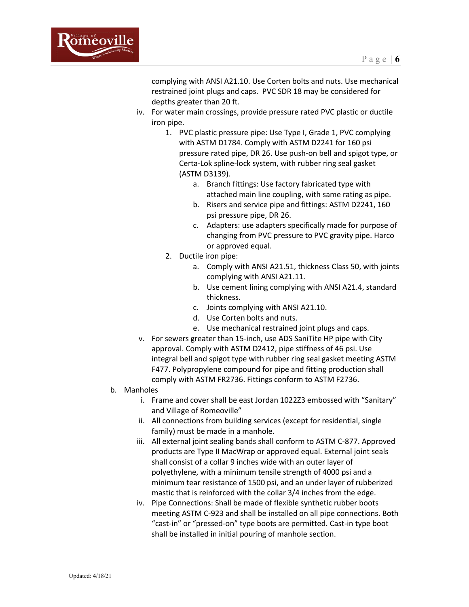

complying with ANSI A21.10. Use Corten bolts and nuts. Use mechanical restrained joint plugs and caps. PVC SDR 18 may be considered for depths greater than 20 ft.

- iv. For water main crossings, provide pressure rated PVC plastic or ductile iron pipe.
	- 1. PVC plastic pressure pipe: Use Type I, Grade 1, PVC complying with ASTM D1784. Comply with ASTM D2241 for 160 psi pressure rated pipe, DR 26. Use push-on bell and spigot type, or Certa-Lok spline-lock system, with rubber ring seal gasket (ASTM D3139).
		- a. Branch fittings: Use factory fabricated type with attached main line coupling, with same rating as pipe.
		- b. Risers and service pipe and fittings: ASTM D2241, 160 psi pressure pipe, DR 26.
		- c. Adapters: use adapters specifically made for purpose of changing from PVC pressure to PVC gravity pipe. Harco or approved equal.
	- 2. Ductile iron pipe:
		- a. Comply with ANSI A21.51, thickness Class 50, with joints complying with ANSI A21.11.
		- b. Use cement lining complying with ANSI A21.4, standard thickness.
		- c. Joints complying with ANSI A21.10.
		- d. Use Corten bolts and nuts.
		- e. Use mechanical restrained joint plugs and caps.
- v. For sewers greater than 15-inch, use ADS SaniTite HP pipe with City approval. Comply with ASTM D2412, pipe stiffness of 46 psi. Use integral bell and spigot type with rubber ring seal gasket meeting ASTM F477. Polypropylene compound for pipe and fitting production shall comply with ASTM FR2736. Fittings conform to ASTM F2736.
- b. Manholes
	- i. Frame and cover shall be east Jordan 1022Z3 embossed with "Sanitary" and Village of Romeoville"
	- ii. All connections from building services (except for residential, single family) must be made in a manhole.
	- iii. All external joint sealing bands shall conform to ASTM C-877. Approved products are Type II MacWrap or approved equal. External joint seals shall consist of a collar 9 inches wide with an outer layer of polyethylene, with a minimum tensile strength of 4000 psi and a minimum tear resistance of 1500 psi, and an under layer of rubberized mastic that is reinforced with the collar 3/4 inches from the edge.
	- iv. Pipe Connections: Shall be made of flexible synthetic rubber boots meeting ASTM C-923 and shall be installed on all pipe connections. Both "cast-in" or "pressed-on" type boots are permitted. Cast-in type boot shall be installed in initial pouring of manhole section.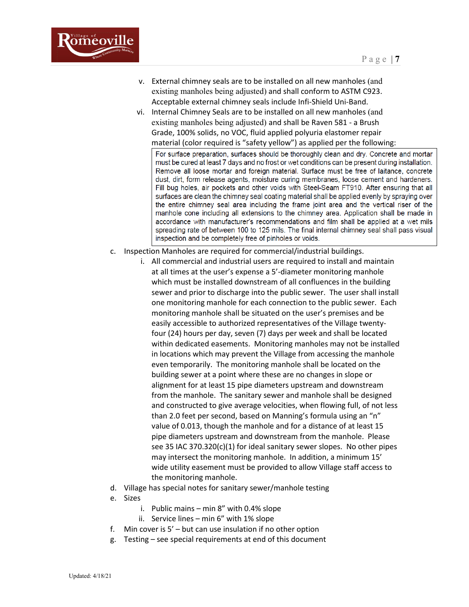

- v. External chimney seals are to be installed on all new manholes (and existing manholes being adjusted) and shall conform to ASTM C923. Acceptable external chimney seals include Infi-Shield Uni-Band.
- vi. Internal Chimney Seals are to be installed on all new manholes (and existing manholes being adjusted) and shall be Raven 581 - a Brush Grade, 100% solids, no VOC, fluid applied polyuria elastomer repair material (color required is "safety yellow") as applied per the following:

For surface preparation, surfaces should be thoroughly clean and dry. Concrete and mortar must be cured at least 7 days and no frost or wet conditions can be present during installation. Remove all loose mortar and foreign material. Surface must be free of laitance, concrete dust, dirt, form release agents, moisture curing membranes, loose cement and hardeners. Fill bug holes, air pockets and other voids with Steel-Seam FT910. After ensuring that all surfaces are clean the chimney seal coating material shall be applied evenly by spraying over the entire chimney seal area including the frame joint area and the vertical riser of the manhole cone including all extensions to the chimney area. Application shall be made in accordance with manufacturer's recommendations and film shall be applied at a wet mils spreading rate of between 100 to 125 mils. The final internal chimney seal shall pass visual inspection and be completely free of pinholes or voids.

- c. Inspection Manholes are required for commercial/industrial buildings.
	- i. All commercial and industrial users are required to install and maintain at all times at the user's expense a 5'-diameter monitoring manhole which must be installed downstream of all confluences in the building sewer and prior to discharge into the public sewer. The user shall install one monitoring manhole for each connection to the public sewer. Each monitoring manhole shall be situated on the user's premises and be easily accessible to authorized representatives of the Village twentyfour (24) hours per day, seven (7) days per week and shall be located within dedicated easements. Monitoring manholes may not be installed in locations which may prevent the Village from accessing the manhole even temporarily. The monitoring manhole shall be located on the building sewer at a point where these are no changes in slope or alignment for at least 15 pipe diameters upstream and downstream from the manhole. The sanitary sewer and manhole shall be designed and constructed to give average velocities, when flowing full, of not less than 2.0 feet per second, based on Manning's formula using an "n" value of 0.013, though the manhole and for a distance of at least 15 pipe diameters upstream and downstream from the manhole. Please see 35 IAC 370.320(c)(1) for ideal sanitary sewer slopes. No other pipes may intersect the monitoring manhole. In addition, a minimum 15' wide utility easement must be provided to allow Village staff access to the monitoring manhole.
- d. Village has special notes for sanitary sewer/manhole testing
- e. Sizes
	- i. Public mains min  $8''$  with 0.4% slope
	- ii. Service lines min 6" with 1% slope
- f. Min cover is 5' but can use insulation if no other option
- g. Testing see special requirements at end of this document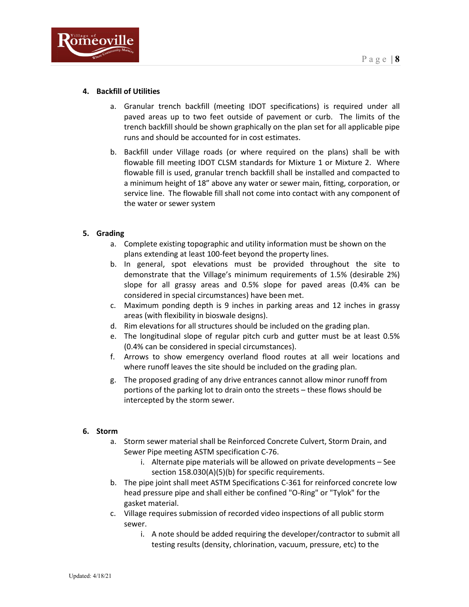

## **4. Backfill of Utilities**

- a. Granular trench backfill (meeting IDOT specifications) is required under all paved areas up to two feet outside of pavement or curb. The limits of the trench backfill should be shown graphically on the plan set for all applicable pipe runs and should be accounted for in cost estimates.
- b. Backfill under Village roads (or where required on the plans) shall be with flowable fill meeting IDOT CLSM standards for Mixture 1 or Mixture 2. Where flowable fill is used, granular trench backfill shall be installed and compacted to a minimum height of 18" above any water or sewer main, fitting, corporation, or service line. The flowable fill shall not come into contact with any component of the water or sewer system

## **5. Grading**

- a. Complete existing topographic and utility information must be shown on the plans extending at least 100-feet beyond the property lines.
- b. In general, spot elevations must be provided throughout the site to demonstrate that the Village's minimum requirements of 1.5% (desirable 2%) slope for all grassy areas and 0.5% slope for paved areas (0.4% can be considered in special circumstances) have been met.
- c. Maximum ponding depth is 9 inches in parking areas and 12 inches in grassy areas (with flexibility in bioswale designs).
- d. Rim elevations for all structures should be included on the grading plan.
- e. The longitudinal slope of regular pitch curb and gutter must be at least 0.5% (0.4% can be considered in special circumstances).
- f. Arrows to show emergency overland flood routes at all weir locations and where runoff leaves the site should be included on the grading plan.
- g. The proposed grading of any drive entrances cannot allow minor runoff from portions of the parking lot to drain onto the streets – these flows should be intercepted by the storm sewer.

# **6. Storm**

- a. Storm sewer material shall be Reinforced Concrete Culvert, Storm Drain, and Sewer Pipe meeting ASTM specification C-76.
	- i. Alternate pipe materials will be allowed on private developments See section 158.030(A)(5)(b) for specific requirements.
- b. The pipe joint shall meet ASTM Specifications C-361 for reinforced concrete low head pressure pipe and shall either be confined "O-Ring" or "Tylok" for the gasket material.
- c. Village requires submission of recorded video inspections of all public storm sewer.
	- i. A note should be added requiring the developer/contractor to submit all testing results (density, chlorination, vacuum, pressure, etc) to the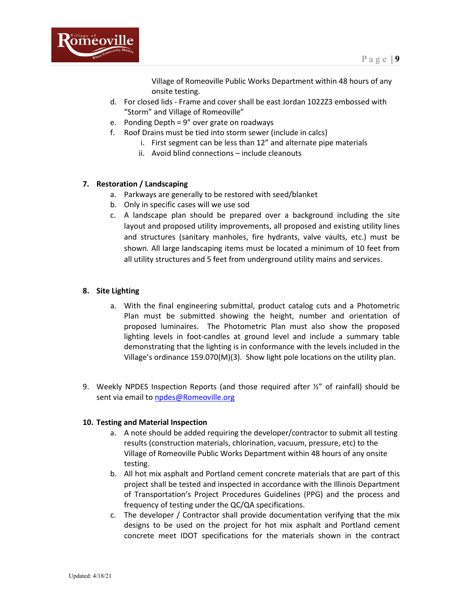

Village of Romeoville Public Works Department within 48 hours of any onsite testing.

- d. For closed lids Frame and cover shall be east Jordan 1022Z3 embossed with "Storm" and Village of Romeoville"
- e. Ponding Depth = 9" over grate on roadways
- f. Roof Drains must be tied into storm sewer (include in calcs)
	- i. First segment can be less than 12" and alternate pipe materials
	- ii. Avoid blind connections include cleanouts

## **7. Restoration / Landscaping**

- a. Parkways are generally to be restored with seed/blanket
- b. Only in specific cases will we use sod
- c. A landscape plan should be prepared over a background including the site layout and proposed utility improvements, all proposed and existing utility lines and structures (sanitary manholes, fire hydrants, valve vaults, etc.) must be shown. All large landscaping items must be located a minimum of 10 feet from all utility structures and 5 feet from underground utility mains and services.

## **8. Site Lighting**

- a. With the final engineering submittal, product catalog cuts and a Photometric Plan must be submitted showing the height, number and orientation of proposed luminaires. The Photometric Plan must also show the proposed lighting levels in foot-candles at ground level and include a summary table demonstrating that the lighting is in conformance with the levels included in the Village's ordinance 159.070(M)(3). Show light pole locations on the utility plan.
- 9. Weekly NPDES Inspection Reports (and those required after ½" of rainfall) should be sent via email to [npdes@Romeoville.org](mailto:npdes@Romeoville.org)

## **10. Testing and Material Inspection**

- a. A note should be added requiring the developer/contractor to submit all testing results (construction materials, chlorination, vacuum, pressure, etc) to the Village of Romeoville Public Works Department within 48 hours of any onsite testing.
- b. All hot mix asphalt and Portland cement concrete materials that are part of this project shall be tested and inspected in accordance with the Illinois Department of Transportation's Project Procedures Guidelines (PPG) and the process and frequency of testing under the QC/QA specifications.
- c. The developer / Contractor shall provide documentation verifying that the mix designs to be used on the project for hot mix asphalt and Portland cement concrete meet IDOT specifications for the materials shown in the contract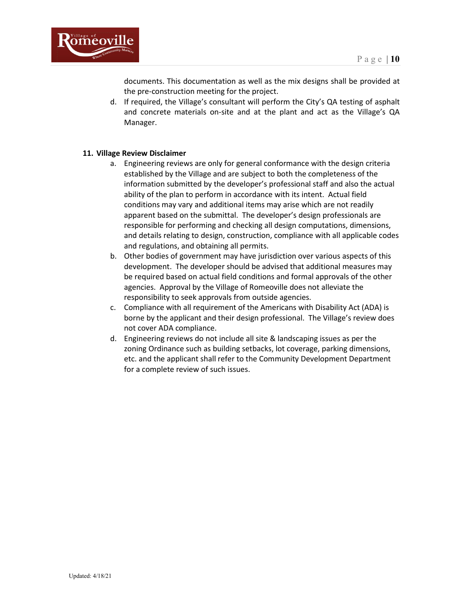

documents. This documentation as well as the mix designs shall be provided at the pre-construction meeting for the project.

d. If required, the Village's consultant will perform the City's QA testing of asphalt and concrete materials on-site and at the plant and act as the Village's QA Manager.

## **11. Village Review Disclaimer**

- a. Engineering reviews are only for general conformance with the design criteria established by the Village and are subject to both the completeness of the information submitted by the developer's professional staff and also the actual ability of the plan to perform in accordance with its intent. Actual field conditions may vary and additional items may arise which are not readily apparent based on the submittal. The developer's design professionals are responsible for performing and checking all design computations, dimensions, and details relating to design, construction, compliance with all applicable codes and regulations, and obtaining all permits.
- b. Other bodies of government may have jurisdiction over various aspects of this development. The developer should be advised that additional measures may be required based on actual field conditions and formal approvals of the other agencies. Approval by the Village of Romeoville does not alleviate the responsibility to seek approvals from outside agencies.
- c. Compliance with all requirement of the Americans with Disability Act (ADA) is borne by the applicant and their design professional. The Village's review does not cover ADA compliance.
- d. Engineering reviews do not include all site & landscaping issues as per the zoning Ordinance such as building setbacks, lot coverage, parking dimensions, etc. and the applicant shall refer to the Community Development Department for a complete review of such issues.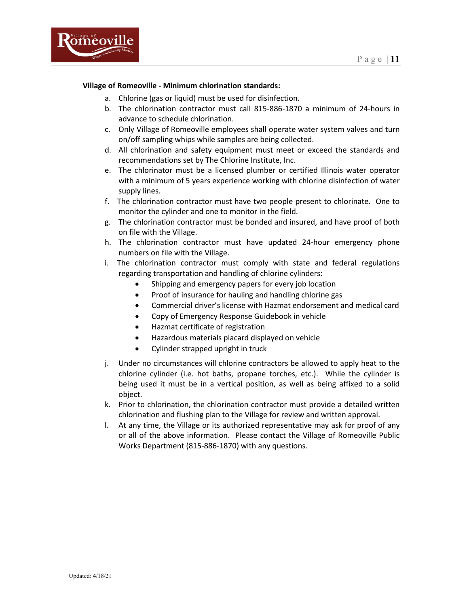

### **Village of Romeoville - Minimum chlorination standards:**

- a. Chlorine (gas or liquid) must be used for disinfection.
- b. The chlorination contractor must call 815-886-1870 a minimum of 24-hours in advance to schedule chlorination.
- c. Only Village of Romeoville employees shall operate water system valves and turn on/off sampling whips while samples are being collected.
- d. All chlorination and safety equipment must meet or exceed the standards and recommendations set by The Chlorine Institute, Inc.
- e. The chlorinator must be a licensed plumber or certified Illinois water operator with a minimum of 5 years experience working with chlorine disinfection of water supply lines.
- f. The chlorination contractor must have two people present to chlorinate. One to monitor the cylinder and one to monitor in the field.
- g. The chlorination contractor must be bonded and insured, and have proof of both on file with the Village.
- h. The chlorination contractor must have updated 24-hour emergency phone numbers on file with the Village.
- i. The chlorination contractor must comply with state and federal regulations regarding transportation and handling of chlorine cylinders:
	- Shipping and emergency papers for every job location
	- Proof of insurance for hauling and handling chlorine gas
	- Commercial driver's license with Hazmat endorsement and medical card
	- Copy of Emergency Response Guidebook in vehicle
	- Hazmat certificate of registration
	- Hazardous materials placard displayed on vehicle
	- Cylinder strapped upright in truck
- j. Under no circumstances will chlorine contractors be allowed to apply heat to the chlorine cylinder (i.e. hot baths, propane torches, etc.). While the cylinder is being used it must be in a vertical position, as well as being affixed to a solid object.
- k. Prior to chlorination, the chlorination contractor must provide a detailed written chlorination and flushing plan to the Village for review and written approval.
- l. At any time, the Village or its authorized representative may ask for proof of any or all of the above information. Please contact the Village of Romeoville Public Works Department (815-886-1870) with any questions.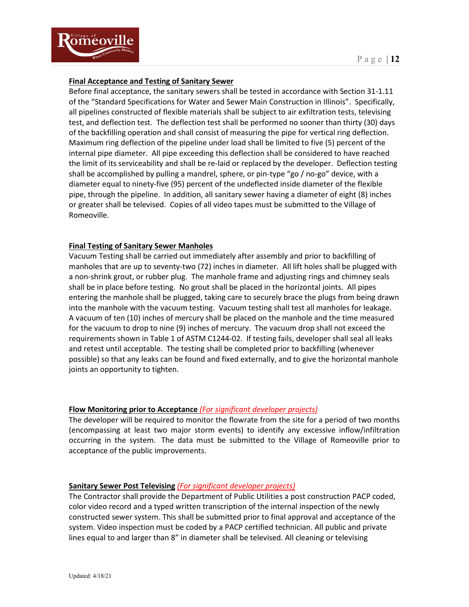

#### **Final Acceptance and Testing of Sanitary Sewer**

Before final acceptance, the sanitary sewers shall be tested in accordance with Section 31-1.11 of the "Standard Specifications for Water and Sewer Main Construction in Illinois". Specifically, all pipelines constructed of flexible materials shall be subject to air exfiltration tests, televising test, and deflection test. The deflection test shall be performed no sooner than thirty (30) days of the backfilling operation and shall consist of measuring the pipe for vertical ring deflection. Maximum ring deflection of the pipeline under load shall be limited to five (5) percent of the internal pipe diameter. All pipe exceeding this deflection shall be considered to have reached the limit of its serviceability and shall be re-laid or replaced by the developer. Deflection testing shall be accomplished by pulling a mandrel, sphere, or pin-type "go / no-go" device, with a diameter equal to ninety-five (95) percent of the undeflected inside diameter of the flexible pipe, through the pipeline. In addition, all sanitary sewer having a diameter of eight (8) inches or greater shall be televised. Copies of all video tapes must be submitted to the Village of Romeoville.

### **Final Testing of Sanitary Sewer Manholes**

Vacuum Testing shall be carried out immediately after assembly and prior to backfilling of manholes that are up to seventy-two (72) inches in diameter. All lift holes shall be plugged with a non-shrink grout, or rubber plug. The manhole frame and adjusting rings and chimney seals shall be in place before testing. No grout shall be placed in the horizontal joints. All pipes entering the manhole shall be plugged, taking care to securely brace the plugs from being drawn into the manhole with the vacuum testing. Vacuum testing shall test all manholes for leakage. A vacuum of ten (10) inches of mercury shall be placed on the manhole and the time measured for the vacuum to drop to nine (9) inches of mercury. The vacuum drop shall not exceed the requirements shown in Table 1 of ASTM C1244-02. If testing fails, developer shall seal all leaks and retest until acceptable. The testing shall be completed prior to backfilling (whenever possible) so that any leaks can be found and fixed externally, and to give the horizontal manhole joints an opportunity to tighten.

## **Flow Monitoring prior to Acceptance** *(For significant developer projects)*

The developer will be required to monitor the flowrate from the site for a period of two months (encompassing at least two major storm events) to identify any excessive inflow/infiltration occurring in the system. The data must be submitted to the Village of Romeoville prior to acceptance of the public improvements.

## **Sanitary Sewer Post Televising** *(For significant developer projects)*

The Contractor shall provide the Department of Public Utilities a post construction PACP coded, color video record and a typed written transcription of the internal inspection of the newly constructed sewer system. This shall be submitted prior to final approval and acceptance of the system. Video inspection must be coded by a PACP certified technician. All public and private lines equal to and larger than 8" in diameter shall be televised. All cleaning or televising